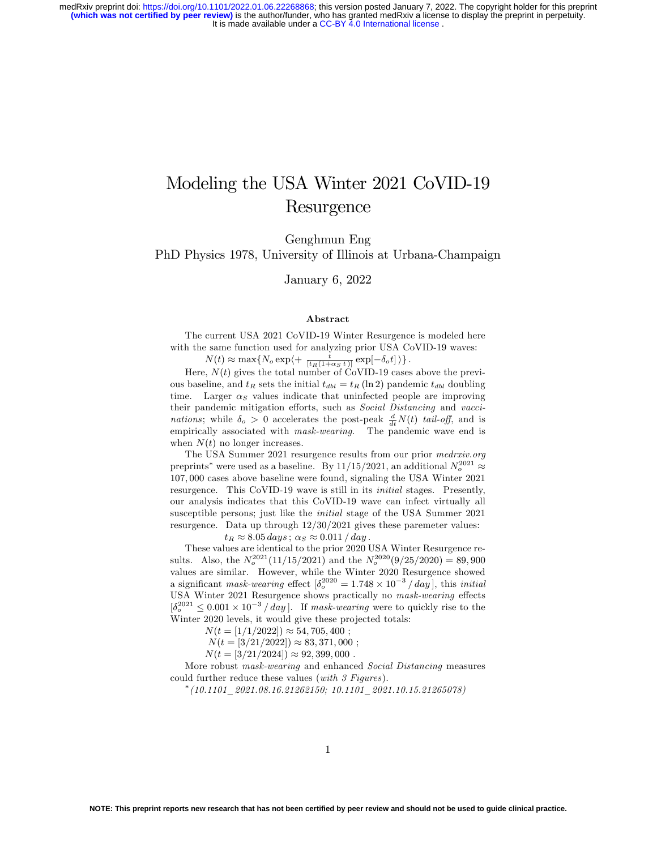### Modeling the USA Winter 2021 CoVID-19 Resurgence

Genghmun Eng

PhD Physics 1978, University of Illinois at Urbana-Champaign

January 6, 2022

#### Abstract

The current USA 2021 CoVID-19 Winter Resurgence is modeled here with the same function used for analyzing prior USA CoVID-19 waves:

 $N(t) \approx \max\{N_o \exp\left(+\frac{t}{[t_R(1+\alpha_S t)]}\exp[-\delta_o t]\right.\}$ .

Here,  $N(t)$  gives the total number of CoVID-19 cases above the previous baseline, and  $t_R$  sets the initial  $t_{dbl} = t_R (\ln 2)$  pandemic  $t_{dbl}$  doubling time. Larger  $\alpha_S$  values indicate that uninfected people are improving their pandemic mitigation efforts, such as Social Distancing and vaccinations; while  $\delta_o > 0$  accelerates the post-peak  $\frac{d}{dt}N(t)$  tail-off, and is empirically associated with mask-wearing. The pandemic wave end is when  $N(t)$  no longer increases.

The USA Summer 2021 resurgence results from our prior medrxiv.org preprints<sup>\*</sup> were used as a baseline. By 11/15/2021, an additional  $N_o^{2021} \approx$ 107; 000 cases above baseline were found, signaling the USA Winter 2021 resurgence. This CoVID-19 wave is still in its initial stages. Presently, our analysis indicates that this CoVID-19 wave can infect virtually all susceptible persons; just like the initial stage of the USA Summer 2021 resurgence. Data up through 12/30/2021 gives these paremeter values:

 $t_R \approx 8.05 \, days$ ;  $\alpha_S \approx 0.011 / day$ .

These values are identical to the prior 2020 USA Winter Resurgence results. Also, the  $N_o^{2021}(11/15/2021)$  and the  $N_o^{2020}(9/25/2020) = 89,900$ values are similar. However, while the Winter 2020 Resurgence showed a significant mask-wearing effect  $\left[\delta_o^{2020} = 1.748 \times 10^{-3} / day\right]$ , this initial USA Winter 2021 Resurgence shows practically no mask-wearing effects  $\left[\delta_o^{2021} \leq 0.001 \times 10^{-3} / day\right]$ . If mask-wearing were to quickly rise to the Winter 2020 levels, it would give these projected totals:

 $N(t = [1/1/2022]) \approx 54,705,400$ ;

 $N(t = \frac{3}{21}\cdot 2022) \approx 83,371,000;$ 

 $N(t = [3/21/2024]) \approx 92,399,000$ .

More robust mask-wearing and enhanced Social Distancing measures could further reduce these values (with 3 Figures).

 $^*(10.1101\_2021.08.16.21262150;\ 10.1101\_2021.10.15.21265078)$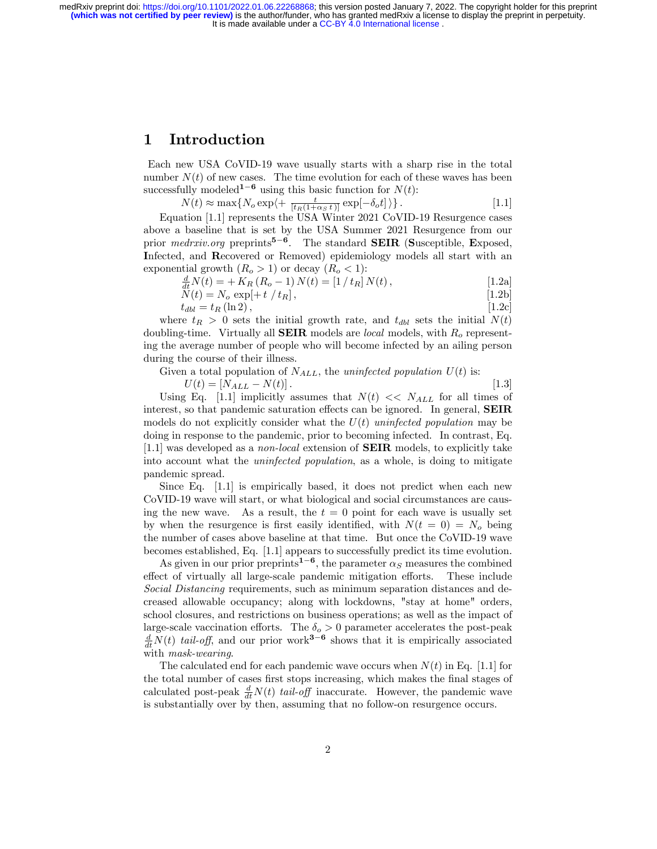#### 1 Introduction

Each new USA CoVID-19 wave usually starts with a sharp rise in the total number  $N(t)$  of new cases. The time evolution for each of these waves has been successfully modeled<sup>1-6</sup> using this basic function for  $N(t)$ :

 $N(t) \approx \max\{N_o \exp\left(+\frac{t}{[t_R(1+\alpha_S t)]}\exp[-\delta_o t]\right\}.$  [1.1]

Equation [1.1] represents the USA Winter 2021 CoVID-19 Resurgence cases above a baseline that is set by the USA Summer 2021 Resurgence from our prior *medrxiv.org* preprints<sup>5-6</sup>. The standard **SEIR** (Susceptible, Exposed, Infected, and Recovered or Removed) epidemiology models all start with an

exponential growth  $(R_o > 1)$  or decay  $(R_o < 1)$ :<br>  $\frac{d}{dt}N(t) = + K_R (R_o - 1) N(t) = [1/t_R] N(t),$  [1.2a]

$$
N(t) = N_o \exp[+t / t_R], \qquad [1.2b]
$$

 $t_{dbl} = t_R (\ln 2),$  [1.2c]

where  $t_R > 0$  sets the initial growth rate, and  $t_{dbl}$  sets the initial  $N(t)$ doubling-time. Virtually all **SEIR** models are *local* models, with  $R_o$  representing the average number of people who will become infected by an ailing person during the course of their illness.

Given a total population of  $N_{ALL}$ , the uninfected population  $U(t)$  is:

 $U(t) = [N_{ALL} - N(t)].$  [1.3] Using Eq. [1.1] implicitly assumes that  $N(t) \ll N_{ALL}$  for all times of interest, so that pandemic saturation effects can be ignored. In general,  $SEIR$ models do not explicitly consider what the  $U(t)$  uninfected population may be doing in response to the pandemic, prior to becoming infected. In contrast, Eq. [1.1] was developed as a non-local extension of SEIR models, to explicitly take into account what the uninfected population, as a whole, is doing to mitigate pandemic spread.

Since Eq. [1.1] is empirically based, it does not predict when each new CoVID-19 wave will start, or what biological and social circumstances are causing the new wave. As a result, the  $t = 0$  point for each wave is usually set by when the resurgence is first easily identified, with  $N(t = 0) = N<sub>o</sub>$  being the number of cases above baseline at that time. But once the CoVID-19 wave becomes established, Eq. [1.1] appears to successfully predict its time evolution.

As given in our prior preprints<sup>1-6</sup>, the parameter  $\alpha_S$  measures the combined effect of virtually all large-scale pandemic mitigation efforts. These include Social Distancing requirements, such as minimum separation distances and decreased allowable occupancy; along with lockdowns, "stay at home" orders, school closures, and restrictions on business operations; as well as the impact of large-scale vaccination efforts. The  $\delta_o > 0$  parameter accelerates the post-peak  $\frac{d}{dt}N(t)$  tail-off, and our prior work<sup>3-6</sup> shows that it is empirically associated with mask-wearing.

The calculated end for each pandemic wave occurs when  $N(t)$  in Eq. [1.1] for the total number of cases first stops increasing, which makes the final stages of calculated post-peak  $\frac{d}{dt}N(t)$  tail-off inaccurate. However, the pandemic wave is substantially over by then, assuming that no follow-on resurgence occurs.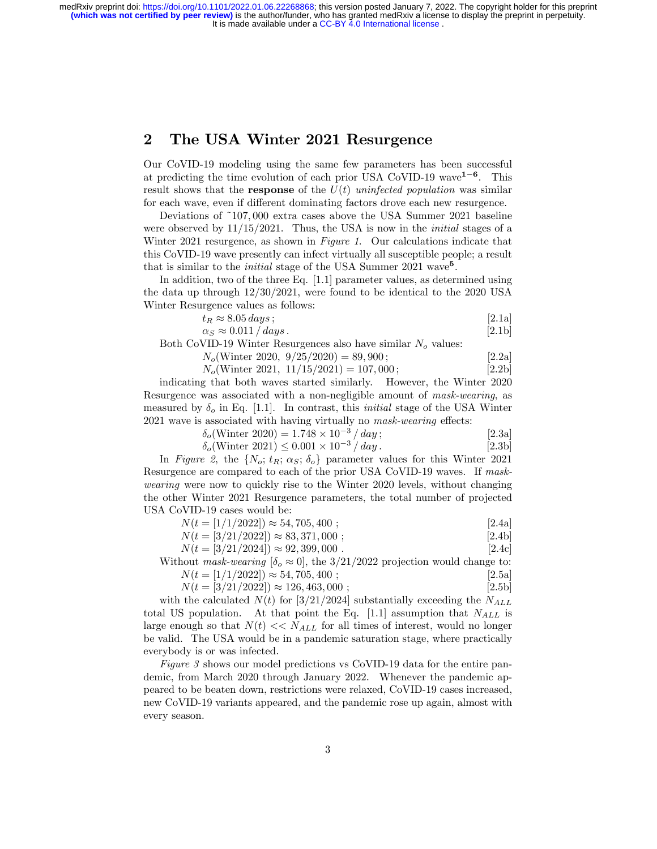#### 2 The USA Winter 2021 Resurgence

Our CoVID-19 modeling using the same few parameters has been successful at predicting the time evolution of each prior USA CoVID-19 wave<sup>1-6</sup>. This result shows that the **response** of the  $U(t)$  uninfected population was similar for each wave, even if different dominating factors drove each new resurgence.

Deviations of ~107; 000 extra cases above the USA Summer 2021 baseline were observed by  $11/15/2021$ . Thus, the USA is now in the *initial* stages of a Winter 2021 resurgence, as shown in Figure 1. Our calculations indicate that this CoVID-19 wave presently can infect virtually all susceptible people; a result that is similar to the *initial* stage of the USA Summer  $2021$  wave<sup>5</sup>.

In addition, two of the three Eq. [1.1] parameter values, as determined using the data up through 12/30/2021, were found to be identical to the 2020 USA Winter Resurgence values as follows:

$$
t_R \approx 8.05 \, days;
$$
 [2.1a]  
\n
$$
\alpha_S \approx 0.011 / \, days.
$$
 [2.1b]

Both CoVID-19 Winter Resurgences also have similar  $N<sub>o</sub>$  values:

$$
N_o(\text{Winter 2020, 9/25/2020)} = 89,900;
$$
 [2.2a]

$$
N_o(\text{Winter 2021, 11/15/2021}) = 107,000;
$$
 [2.2b]

indicating that both waves started similarly. However, the Winter 2020 Resurgence was associated with a non-negligible amount of mask-wearing, as measured by  $\delta_o$  in Eq. [1.1]. In contrast, this *initial* stage of the USA Winter  $2021$  wave is associated with having virtually no *mask-wearing* effects:

$$
\delta_o(\text{Winter 2020}) = 1.748 \times 10^{-3} / day; \qquad [2.3a]
$$
\n
$$
\delta_o(\text{Winter 2021}) \le 0.001 \times 10^{-3} / day. \qquad [2.3b]
$$

In Figure 2, the  $\{N_o; t_R; \alpha_S; \delta_o\}$  parameter values for this Winter 2021 Resurgence are compared to each of the prior USA CoVID-19 waves. If maskwearing were now to quickly rise to the Winter 2020 levels, without changing the other Winter 2021 Resurgence parameters, the total number of projected USA CoVID-19 cases would be:

|            | $N(t = [1/1/2022]) \approx 54,705,400;$ | [2.4a] |
|------------|-----------------------------------------|--------|
| $  \prime$ | .                                       |        |

$$
N(t = [3/21/2022]) \approx 83,371,000 ;
$$
 [2.4b]

 $N(t = [3/21/2024]) \approx 92,399,000$ . [2.4c]

Without mask-wearing  $[\delta_o \approx 0]$ , the 3/21/2022 projection would change to:<br> $N(t = [1/1/2022] \approx 54,705,400$ .

| $N(t = [1/1/2022]) \approx 54,705,400;$   | [2.5a] |
|-------------------------------------------|--------|
| $N(t = [3/21/2022]) \approx 126,463,000;$ | [2.5b] |

with the calculated  $N(t)$  for [3/21/2024] substantially exceeding the  $N_{ALL}$ total US population. At that point the Eq. [1.1] assumption that  $N_{ALL}$  is large enough so that  $N(t) \ll N_{ALL}$  for all times of interest, would no longer be valid. The USA would be in a pandemic saturation stage, where practically everybody is or was infected.

Figure 3 shows our model predictions vs CoVID-19 data for the entire pandemic, from March 2020 through January 2022. Whenever the pandemic appeared to be beaten down, restrictions were relaxed, CoVID-19 cases increased, new CoVID-19 variants appeared, and the pandemic rose up again, almost with every season.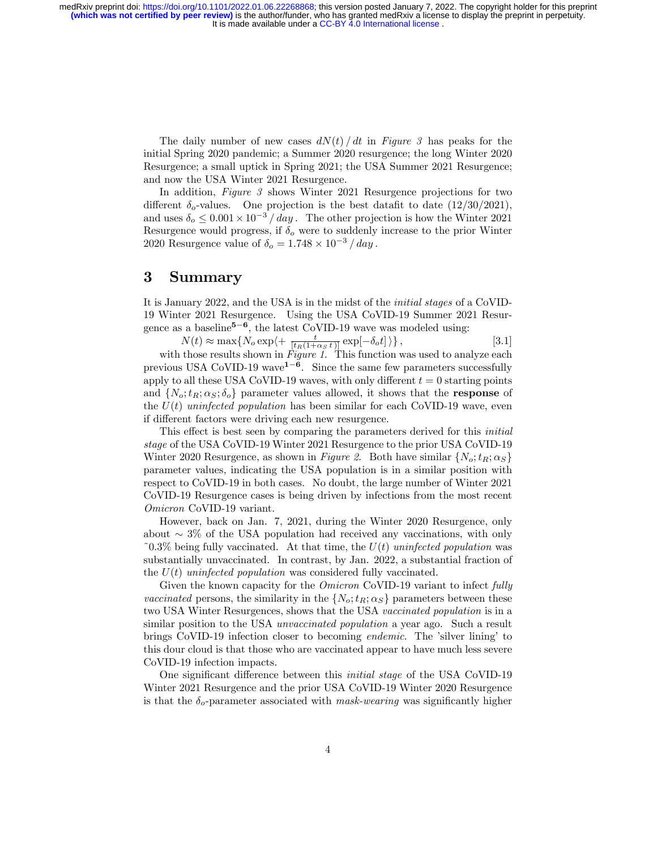> The daily number of new cases  $dN(t)/dt$  in Figure 3 has peaks for the initial Spring 2020 pandemic; a Summer 2020 resurgence; the long Winter 2020 Resurgence; a small uptick in Spring 2021; the USA Summer 2021 Resurgence; and now the USA Winter 2021 Resurgence.

> In addition, Figure 3 shows Winter 2021 Resurgence projections for two different  $\delta_o$ -values. One projection is the best datafit to date  $(12/30/2021)$ , and uses  $\delta_o \leq 0.001 \times 10^{-3}$  / day. The other projection is how the Winter 2021 Resurgence would progress, if  $\delta_{\alpha}$  were to suddenly increase to the prior Winter 2020 Resurgence value of  $\delta_o = 1.748 \times 10^{-3} / day$ .

#### 3 Summary

It is January 2022, and the USA is in the midst of the initial stages of a CoVID-19 Winter 2021 Resurgence. Using the USA CoVID-19 Summer 2021 Resurgence as a baseline<sup>5-6</sup>, the latest CoVID-19 wave was modeled using:

$$
N(t) \approx \max\{N_o \exp\left(+\frac{t}{[t_R(1+\alpha_S t)]}\exp[-\delta_o t]\right)\},\tag{3.1}
$$

with those results shown in Figure 1. This function was used to analyze each previous USA CoVID-19 wave<sup>1-6</sup>. Since the same few parameters successfully apply to all these USA CoVID-19 waves, with only different  $t = 0$  starting points and  $\{N_o; t_R; \alpha_S; \delta_o\}$  parameter values allowed, it shows that the **response** of the  $U(t)$  uninfected population has been similar for each CoVID-19 wave, even if different factors were driving each new resurgence.

This effect is best seen by comparing the parameters derived for this *initial* stage of the USA CoVID-19 Winter 2021 Resurgence to the prior USA CoVID-19 Winter 2020 Resurgence, as shown in Figure 2. Both have similar  $\{N_o; t_R; \alpha_S\}$ parameter values, indicating the USA population is in a similar position with respect to CoVID-19 in both cases. No doubt, the large number of Winter 2021 CoVID-19 Resurgence cases is being driven by infections from the most recent Omicron CoVID-19 variant.

However, back on Jan. 7, 2021, during the Winter 2020 Resurgence, only about  $\sim$  3% of the USA population had received any vaccinations, with only ~0.3% being fully vaccinated. At that time, the  $U(t)$  uninfected population was substantially unvaccinated. In contrast, by Jan. 2022, a substantial fraction of the  $U(t)$  uninfected population was considered fully vaccinated.

Given the known capacity for the *Omicron* CoVID-19 variant to infect *fully* vaccinated persons, the similarity in the  $\{N_o; t_R; \alpha_S\}$  parameters between these two USA Winter Resurgences, shows that the USA vaccinated population is in a similar position to the USA *unvaccinated population* a year ago. Such a result brings CoVID-19 infection closer to becoming *endemic*. The 'silver lining' to this dour cloud is that those who are vaccinated appear to have much less severe CoVID-19 infection impacts.

One significant difference between this *initial stage* of the USA CoVID-19 Winter 2021 Resurgence and the prior USA CoVID-19 Winter 2020 Resurgence is that the  $\delta_o$ -parameter associated with mask-wearing was significantly higher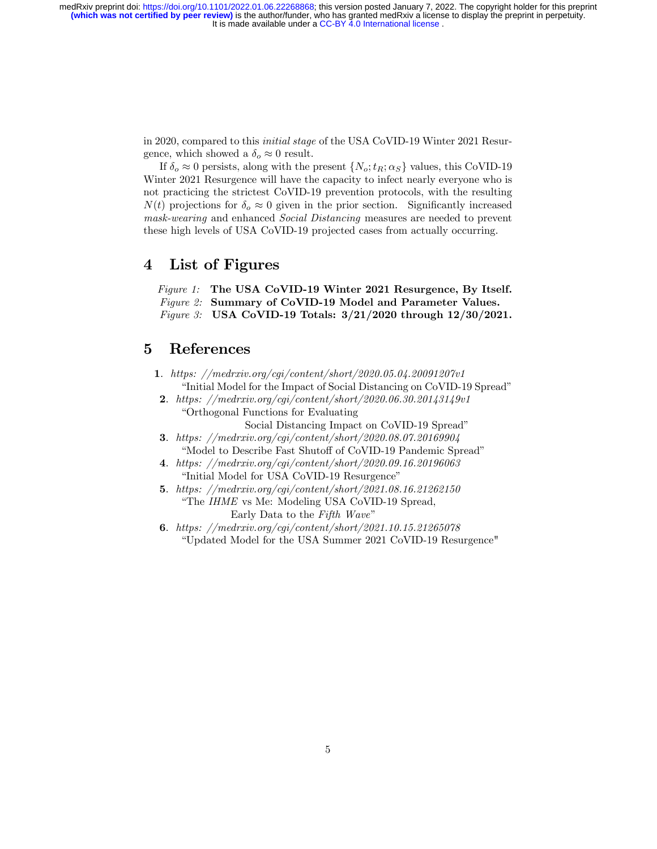> in 2020, compared to this initial stage of the USA CoVID-19 Winter 2021 Resurgence, which showed a  $\delta_o \approx 0$  result.

> If  $\delta_o \approx 0$  persists, along with the present  $\{N_o; t_R; \alpha_S\}$  values, this CoVID-19 Winter 2021 Resurgence will have the capacity to infect nearly everyone who is not practicing the strictest CoVID-19 prevention protocols, with the resulting  $N(t)$  projections for  $\delta_o \approx 0$  given in the prior section. Significantly increased mask-wearing and enhanced Social Distancing measures are needed to prevent these high levels of USA CoVID-19 projected cases from actually occurring.

#### 4 List of Figures

Figure 1: The USA CoVID-19 Winter 2021 Resurgence, By Itself. Figure 2: Summary of CoVID-19 Model and Parameter Values. Figure 3: USA CoVID-19 Totals: 3/21/2020 through 12/30/2021.

#### 5 References

- 1: https: //medrxiv.org/cgi/content/short/2020.05.04.20091207v1 "Initial Model for the Impact of Social Distancing on CoVID-19 Spread"
- 2: https: //medrxiv.org/cgi/content/short/2020.06.30.20143149v1 ìOrthogonal Functions for Evaluating

Social Distancing Impact on CoVID-19 Spread"

- 3: https: //medrxiv.org/cgi/content/short/2020.08.07.20169904 "Model to Describe Fast Shutoff of CoVID-19 Pandemic Spread"
- 4: https: //medrxiv.org/cgi/content/short/2020.09.16.20196063 "Initial Model for USA CoVID-19 Resurgence"
- 5: https: //medrxiv.org/cgi/content/short/2021.08.16.21262150 "The IHME vs Me: Modeling USA CoVID-19 Spread, Early Data to the Fifth Wave"
- 6: https: //medrxiv.org/cgi/content/short/2021.10.15.21265078 ìUpdated Model for the USA Summer 2021 CoVID-19 Resurgence"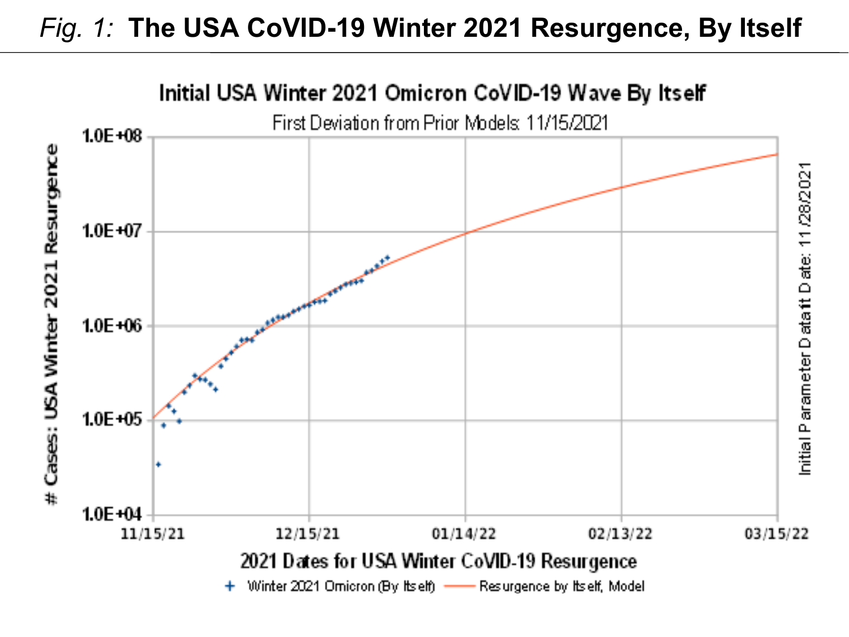# *Fig. 1:* **The USA CoVID-19 Winter 2021 Resurgence, By Itself**

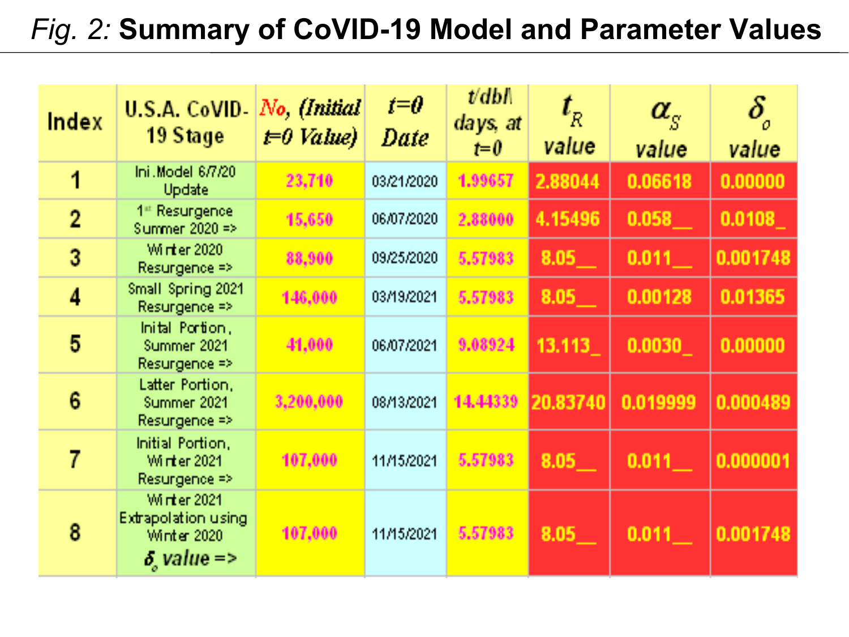# *Fig. 2:* **Summary of CoVID-19 Model and Parameter Values**

| Index          | <b>U.S.A. CoVID-</b><br>19 Stage                                                     | No, (Initial<br>$t=0$ Value) | $\boldsymbol{t} = \boldsymbol{\theta}$<br>Date | $\mathit{U}\text{dbl}$<br>days, at<br>$t=0$ | $\mathbf{t}_\text{a}$<br>value | $\alpha_{\rm c}$<br>value | value    |
|----------------|--------------------------------------------------------------------------------------|------------------------------|------------------------------------------------|---------------------------------------------|--------------------------------|---------------------------|----------|
| 1              | Ini.Model 6/7/20<br>Update                                                           | 23,710                       | 03/21/2020                                     | 1.99657                                     | 2.88044                        | 0.06618                   | 0.00000  |
| $\overline{2}$ | 1 <sup>#</sup> Resurgence<br>Summer 2020 =>                                          | 15,650                       | 06/07/2020                                     | 2,88000                                     | 4.15496                        | 0.058                     | 0.0108   |
| 3              | Wirter 2020<br>Resurgence =>                                                         | 88,900                       | 09/25/2020                                     | 5,57983                                     | 8.05                           | 0.011                     | 0.001748 |
| 4              | Small Spring 2021<br>Resurgence =>                                                   | 146,000                      | 03/19/2021                                     | 5.57983                                     | 8.05                           | 0.00128                   | 0.01365  |
| 5              | Inital Portion,<br>Summer 2021<br>Resurgence =>                                      | 41,000                       | 06/07/2021                                     | 9.08924                                     | 13.113                         | 0.0030                    | 0.00000  |
| 6              | Latter Portion,<br>Summer 2021<br>$Resurgence \Rightarrow$                           | 3,200,000                    | 08/13/2021                                     | 14.44339                                    | 20.83740                       | 0.019999                  | 0.000489 |
| 7              | Initial Portion,<br><b>Winter 2021</b><br>Resurgence $\Rightarrow$                   | 107,000                      | 11/15/2021                                     | 5.57983                                     | 8.05                           | 0.011                     | 0.000001 |
| 8              | <b>Winter 2021</b><br><b>Extrapolation using</b><br>Winter 2020<br>$\delta$ value => | 107,000                      | 11/15/2021                                     | 5,57983                                     | 8.05                           | 0.011                     | 0.001748 |